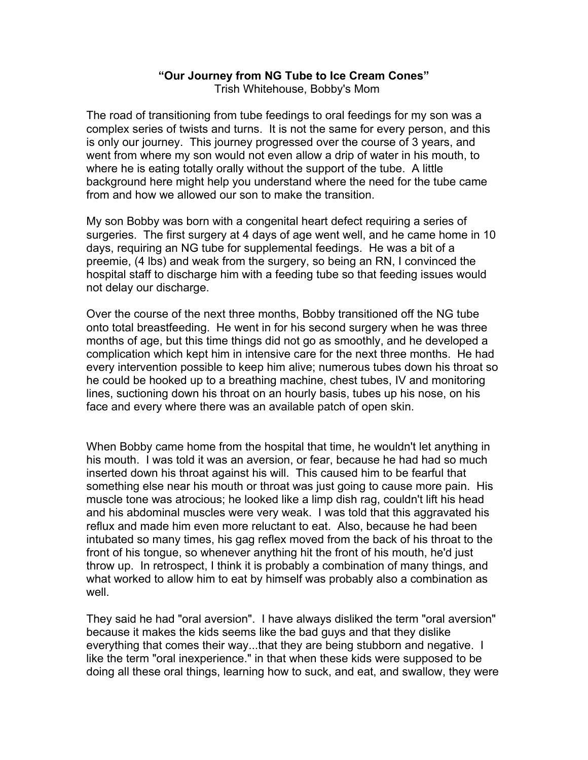## **"Our Journey from NG Tube to Ice Cream Cones"**

Trish Whitehouse, Bobby's Mom

The road of transitioning from tube feedings to oral feedings for my son was a complex series of twists and turns. It is not the same for every person, and this is only our journey. This journey progressed over the course of 3 years, and went from where my son would not even allow a drip of water in his mouth, to where he is eating totally orally without the support of the tube. A little background here might help you understand where the need for the tube came from and how we allowed our son to make the transition.

My son Bobby was born with a congenital heart defect requiring a series of surgeries. The first surgery at 4 days of age went well, and he came home in 10 days, requiring an NG tube for supplemental feedings. He was a bit of a preemie, (4 lbs) and weak from the surgery, so being an RN, I convinced the hospital staff to discharge him with a feeding tube so that feeding issues would not delay our discharge.

Over the course of the next three months, Bobby transitioned off the NG tube onto total breastfeeding. He went in for his second surgery when he was three months of age, but this time things did not go as smoothly, and he developed a complication which kept him in intensive care for the next three months. He had every intervention possible to keep him alive; numerous tubes down his throat so he could be hooked up to a breathing machine, chest tubes, IV and monitoring lines, suctioning down his throat on an hourly basis, tubes up his nose, on his face and every where there was an available patch of open skin.

When Bobby came home from the hospital that time, he wouldn't let anything in his mouth. I was told it was an aversion, or fear, because he had had so much inserted down his throat against his will. This caused him to be fearful that something else near his mouth or throat was just going to cause more pain. His muscle tone was atrocious; he looked like a limp dish rag, couldn't lift his head and his abdominal muscles were very weak. I was told that this aggravated his reflux and made him even more reluctant to eat. Also, because he had been intubated so many times, his gag reflex moved from the back of his throat to the front of his tongue, so whenever anything hit the front of his mouth, he'd just throw up. In retrospect, I think it is probably a combination of many things, and what worked to allow him to eat by himself was probably also a combination as well.

They said he had "oral aversion". I have always disliked the term "oral aversion" because it makes the kids seems like the bad guys and that they dislike everything that comes their way...that they are being stubborn and negative. I like the term "oral inexperience." in that when these kids were supposed to be doing all these oral things, learning how to suck, and eat, and swallow, they were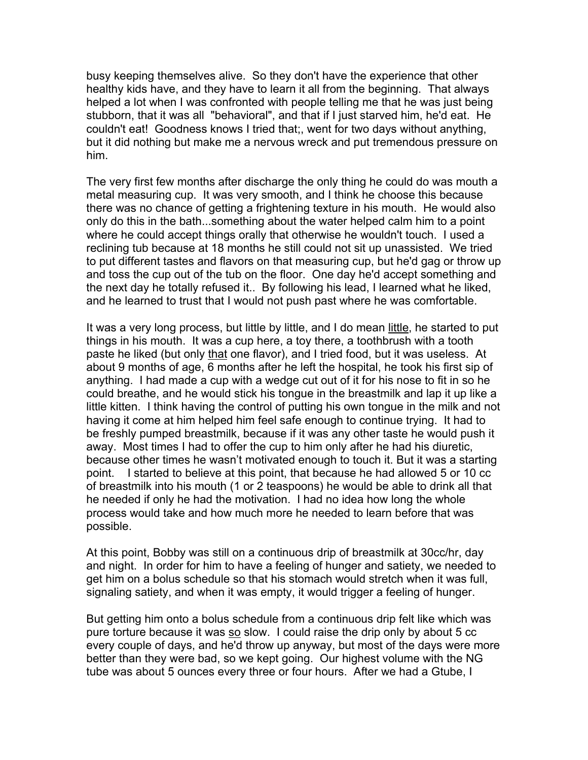busy keeping themselves alive. So they don't have the experience that other healthy kids have, and they have to learn it all from the beginning. That always helped a lot when I was confronted with people telling me that he was just being stubborn, that it was all "behavioral", and that if I just starved him, he'd eat. He couldn't eat! Goodness knows I tried that;, went for two days without anything, but it did nothing but make me a nervous wreck and put tremendous pressure on him.

The very first few months after discharge the only thing he could do was mouth a metal measuring cup. It was very smooth, and I think he choose this because there was no chance of getting a frightening texture in his mouth. He would also only do this in the bath...something about the water helped calm him to a point where he could accept things orally that otherwise he wouldn't touch. I used a reclining tub because at 18 months he still could not sit up unassisted. We tried to put different tastes and flavors on that measuring cup, but he'd gag or throw up and toss the cup out of the tub on the floor. One day he'd accept something and the next day he totally refused it.. By following his lead, I learned what he liked, and he learned to trust that I would not push past where he was comfortable.

It was a very long process, but little by little, and I do mean little, he started to put things in his mouth. It was a cup here, a toy there, a toothbrush with a tooth paste he liked (but only that one flavor), and I tried food, but it was useless. At about 9 months of age, 6 months after he left the hospital, he took his first sip of anything. I had made a cup with a wedge cut out of it for his nose to fit in so he could breathe, and he would stick his tongue in the breastmilk and lap it up like a little kitten. I think having the control of putting his own tongue in the milk and not having it come at him helped him feel safe enough to continue trying. It had to be freshly pumped breastmilk, because if it was any other taste he would push it away. Most times I had to offer the cup to him only after he had his diuretic, because other times he wasn't motivated enough to touch it. But it was a starting point. I started to believe at this point, that because he had allowed 5 or 10 cc of breastmilk into his mouth (1 or 2 teaspoons) he would be able to drink all that he needed if only he had the motivation. I had no idea how long the whole process would take and how much more he needed to learn before that was possible.

At this point, Bobby was still on a continuous drip of breastmilk at 30cc/hr, day and night. In order for him to have a feeling of hunger and satiety, we needed to get him on a bolus schedule so that his stomach would stretch when it was full, signaling satiety, and when it was empty, it would trigger a feeling of hunger.

But getting him onto a bolus schedule from a continuous drip felt like which was pure torture because it was so slow. I could raise the drip only by about 5 cc every couple of days, and he'd throw up anyway, but most of the days were more better than they were bad, so we kept going. Our highest volume with the NG tube was about 5 ounces every three or four hours. After we had a Gtube, I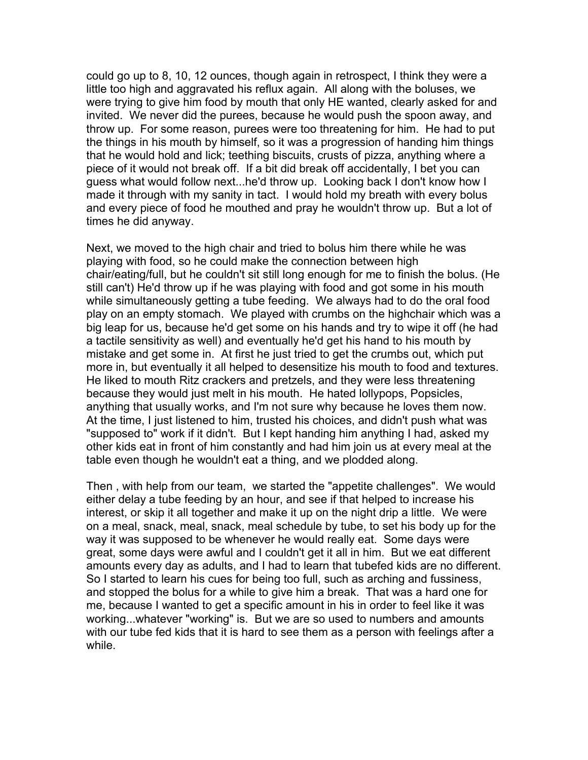could go up to 8, 10, 12 ounces, though again in retrospect, I think they were a little too high and aggravated his reflux again. All along with the boluses, we were trying to give him food by mouth that only HE wanted, clearly asked for and invited. We never did the purees, because he would push the spoon away, and throw up. For some reason, purees were too threatening for him. He had to put the things in his mouth by himself, so it was a progression of handing him things that he would hold and lick; teething biscuits, crusts of pizza, anything where a piece of it would not break off. If a bit did break off accidentally, I bet you can guess what would follow next...he'd throw up. Looking back I don't know how I made it through with my sanity in tact. I would hold my breath with every bolus and every piece of food he mouthed and pray he wouldn't throw up. But a lot of times he did anyway.

Next, we moved to the high chair and tried to bolus him there while he was playing with food, so he could make the connection between high chair/eating/full, but he couldn't sit still long enough for me to finish the bolus. (He still can't) He'd throw up if he was playing with food and got some in his mouth while simultaneously getting a tube feeding. We always had to do the oral food play on an empty stomach. We played with crumbs on the highchair which was a big leap for us, because he'd get some on his hands and try to wipe it off (he had a tactile sensitivity as well) and eventually he'd get his hand to his mouth by mistake and get some in. At first he just tried to get the crumbs out, which put more in, but eventually it all helped to desensitize his mouth to food and textures. He liked to mouth Ritz crackers and pretzels, and they were less threatening because they would just melt in his mouth. He hated lollypops, Popsicles, anything that usually works, and I'm not sure why because he loves them now. At the time, I just listened to him, trusted his choices, and didn't push what was "supposed to" work if it didn't. But I kept handing him anything I had, asked my other kids eat in front of him constantly and had him join us at every meal at the table even though he wouldn't eat a thing, and we plodded along.

Then , with help from our team, we started the "appetite challenges". We would either delay a tube feeding by an hour, and see if that helped to increase his interest, or skip it all together and make it up on the night drip a little. We were on a meal, snack, meal, snack, meal schedule by tube, to set his body up for the way it was supposed to be whenever he would really eat. Some days were great, some days were awful and I couldn't get it all in him. But we eat different amounts every day as adults, and I had to learn that tubefed kids are no different. So I started to learn his cues for being too full, such as arching and fussiness, and stopped the bolus for a while to give him a break. That was a hard one for me, because I wanted to get a specific amount in his in order to feel like it was working...whatever "working" is. But we are so used to numbers and amounts with our tube fed kids that it is hard to see them as a person with feelings after a while.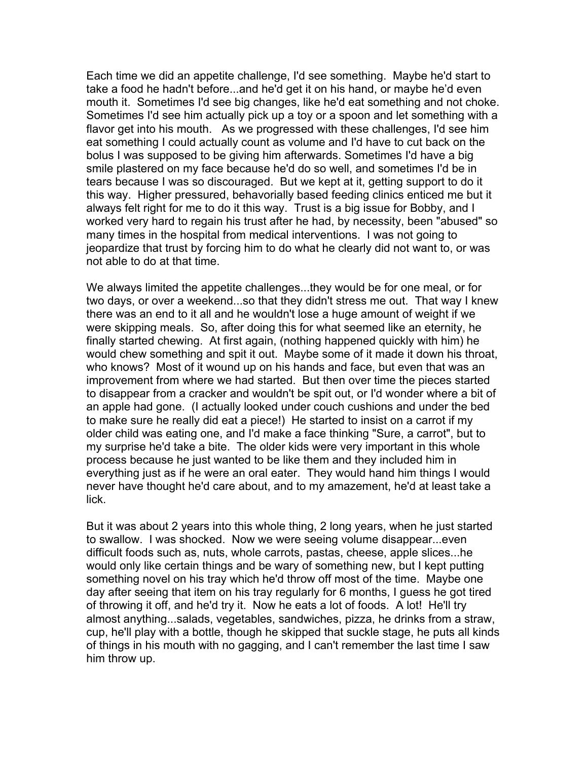Each time we did an appetite challenge, I'd see something. Maybe he'd start to take a food he hadn't before...and he'd get it on his hand, or maybe he'd even mouth it. Sometimes I'd see big changes, like he'd eat something and not choke. Sometimes I'd see him actually pick up a toy or a spoon and let something with a flavor get into his mouth. As we progressed with these challenges, I'd see him eat something I could actually count as volume and I'd have to cut back on the bolus I was supposed to be giving him afterwards. Sometimes I'd have a big smile plastered on my face because he'd do so well, and sometimes I'd be in tears because I was so discouraged. But we kept at it, getting support to do it this way. Higher pressured, behavorially based feeding clinics enticed me but it always felt right for me to do it this way. Trust is a big issue for Bobby, and I worked very hard to regain his trust after he had, by necessity, been "abused" so many times in the hospital from medical interventions. I was not going to jeopardize that trust by forcing him to do what he clearly did not want to, or was not able to do at that time.

We always limited the appetite challenges...they would be for one meal, or for two days, or over a weekend...so that they didn't stress me out. That way I knew there was an end to it all and he wouldn't lose a huge amount of weight if we were skipping meals. So, after doing this for what seemed like an eternity, he finally started chewing. At first again, (nothing happened quickly with him) he would chew something and spit it out. Maybe some of it made it down his throat, who knows? Most of it wound up on his hands and face, but even that was an improvement from where we had started. But then over time the pieces started to disappear from a cracker and wouldn't be spit out, or I'd wonder where a bit of an apple had gone. (I actually looked under couch cushions and under the bed to make sure he really did eat a piece!) He started to insist on a carrot if my older child was eating one, and I'd make a face thinking "Sure, a carrot", but to my surprise he'd take a bite. The older kids were very important in this whole process because he just wanted to be like them and they included him in everything just as if he were an oral eater. They would hand him things I would never have thought he'd care about, and to my amazement, he'd at least take a lick.

But it was about 2 years into this whole thing, 2 long years, when he just started to swallow. I was shocked. Now we were seeing volume disappear...even difficult foods such as, nuts, whole carrots, pastas, cheese, apple slices...he would only like certain things and be wary of something new, but I kept putting something novel on his tray which he'd throw off most of the time. Maybe one day after seeing that item on his tray regularly for 6 months, I guess he got tired of throwing it off, and he'd try it. Now he eats a lot of foods. A lot! He'll try almost anything...salads, vegetables, sandwiches, pizza, he drinks from a straw, cup, he'll play with a bottle, though he skipped that suckle stage, he puts all kinds of things in his mouth with no gagging, and I can't remember the last time I saw him throw up.